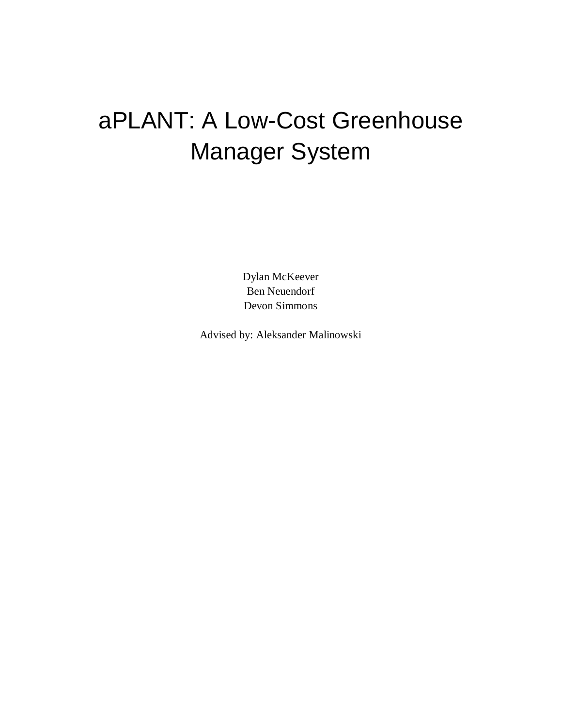# aPLANT: A Low-Cost Greenhouse Manager System

Dylan McKeever Ben Neuendorf Devon Simmons

Advised by: Aleksander Malinowski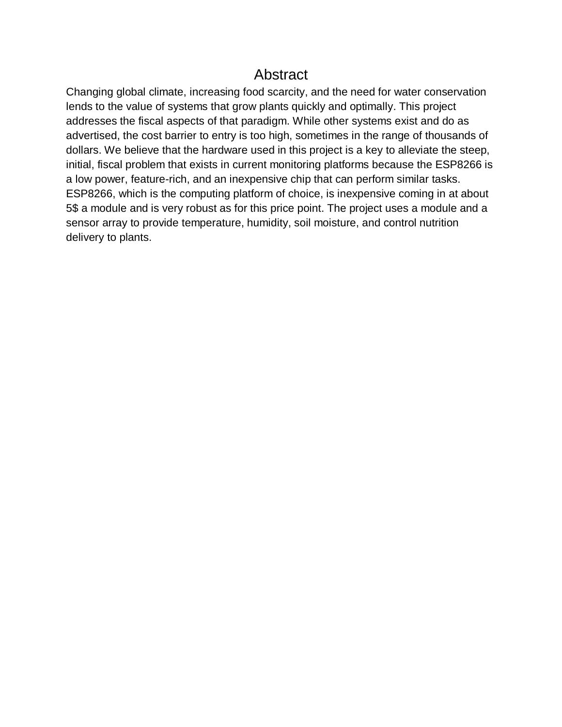## **Abstract**

Changing global climate, increasing food scarcity, and the need for water conservation lends to the value of systems that grow plants quickly and optimally. This project addresses the fiscal aspects of that paradigm. While other systems exist and do as advertised, the cost barrier to entry is too high, sometimes in the range of thousands of dollars. We believe that the hardware used in this project is a key to alleviate the steep, initial, fiscal problem that exists in current monitoring platforms because the ESP8266 is a low power, feature-rich, and an inexpensive chip that can perform similar tasks. ESP8266, which is the computing platform of choice, is inexpensive coming in at about 5\$ a module and is very robust as for this price point. The project uses a module and a sensor array to provide temperature, humidity, soil moisture, and control nutrition delivery to plants.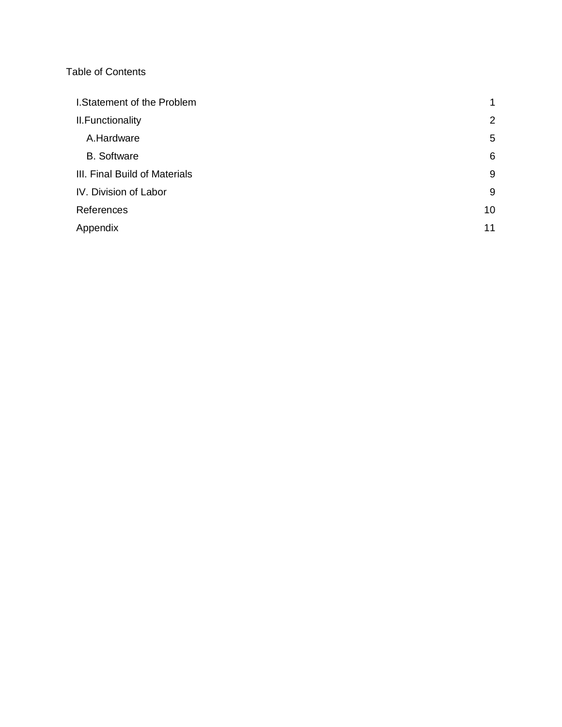#### Table of Contents

| I.Statement of the Problem    | $\mathbf{1}$ |
|-------------------------------|--------------|
| II. Functionality             | 2            |
| A.Hardware                    | 5            |
| <b>B.</b> Software            | 6            |
| III. Final Build of Materials | 9            |
| IV. Division of Labor         | 9            |
| References                    | 10           |
| Appendix                      | 11           |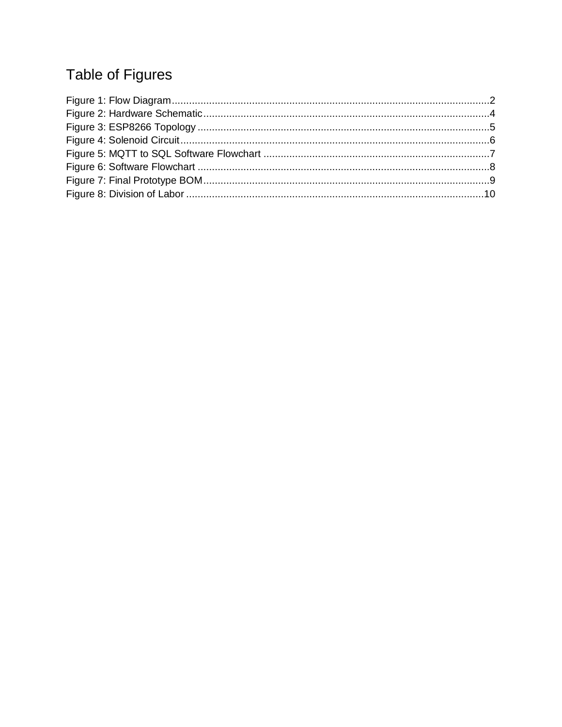# Table of Figures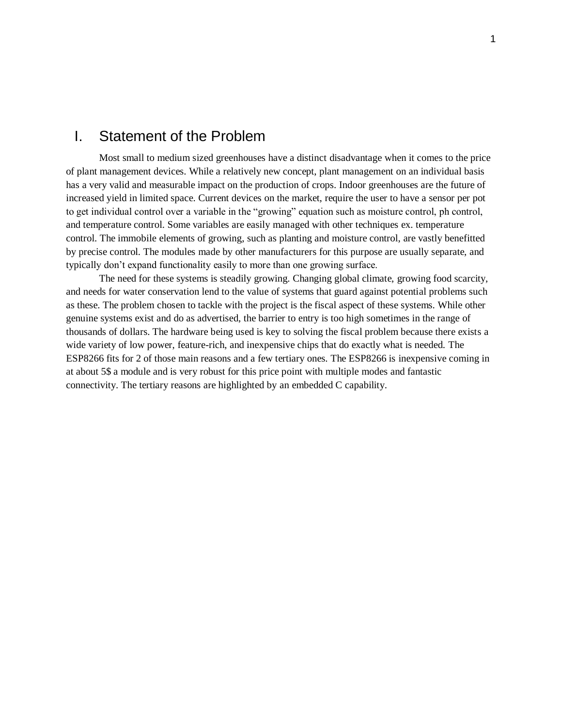#### <span id="page-4-0"></span>I. Statement of the Problem

Most small to medium sized greenhouses have a distinct disadvantage when it comes to the price of plant management devices. While a relatively new concept, plant management on an individual basis has a very valid and measurable impact on the production of crops. Indoor greenhouses are the future of increased yield in limited space. Current devices on the market, require the user to have a sensor per pot to get individual control over a variable in the "growing" equation such as moisture control, ph control, and temperature control. Some variables are easily managed with other techniques ex. temperature control. The immobile elements of growing, such as planting and moisture control, are vastly benefitted by precise control. The modules made by other manufacturers for this purpose are usually separate, and typically don't expand functionality easily to more than one growing surface.

The need for these systems is steadily growing. Changing global climate, growing food scarcity, and needs for water conservation lend to the value of systems that guard against potential problems such as these. The problem chosen to tackle with the project is the fiscal aspect of these systems. While other genuine systems exist and do as advertised, the barrier to entry is too high sometimes in the range of thousands of dollars. The hardware being used is key to solving the fiscal problem because there exists a wide variety of low power, feature-rich, and inexpensive chips that do exactly what is needed. The ESP8266 fits for 2 of those main reasons and a few tertiary ones. The ESP8266 is inexpensive coming in at about 5\$ a module and is very robust for this price point with multiple modes and fantastic connectivity. The tertiary reasons are highlighted by an embedded C capability.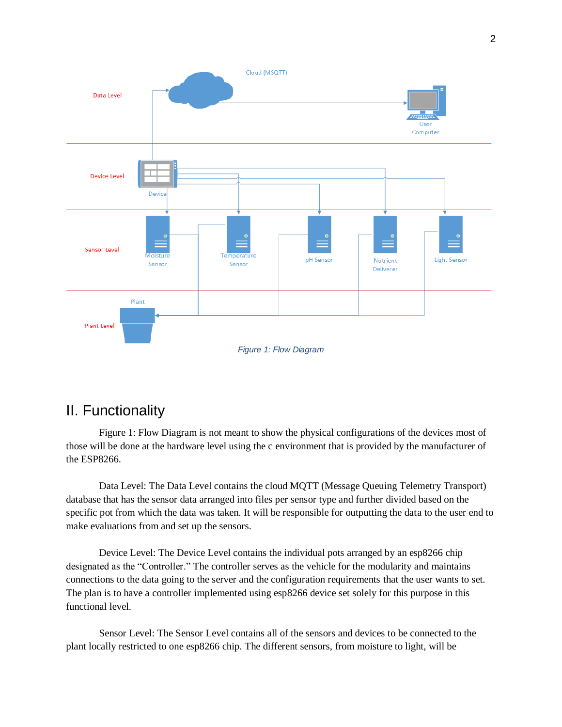

# <span id="page-5-1"></span><span id="page-5-0"></span>II. Functionality

Figure 1: Flow Diagram is not meant to show the physical configurations of the devices most of those will be done at the hardware level using the c environment that is provided by the manufacturer of the ESP8266.

Data Level: The Data Level contains the cloud MQTT (Message Queuing Telemetry Transport) database that has the sensor data arranged into files per sensor type and further divided based on the specific pot from which the data was taken. It will be responsible for outputting the data to the user end to make evaluations from and set up the sensors.

Device Level: The Device Level contains the individual pots arranged by an esp8266 chip designated as the "Controller." The controller serves as the vehicle for the modularity and maintains connections to the data going to the server and the configuration requirements that the user wants to set. The plan is to have a controller implemented using esp8266 device set solely for this purpose in this functional level.

Sensor Level: The Sensor Level contains all of the sensors and devices to be connected to the plant locally restricted to one esp8266 chip. The different sensors, from moisture to light, will be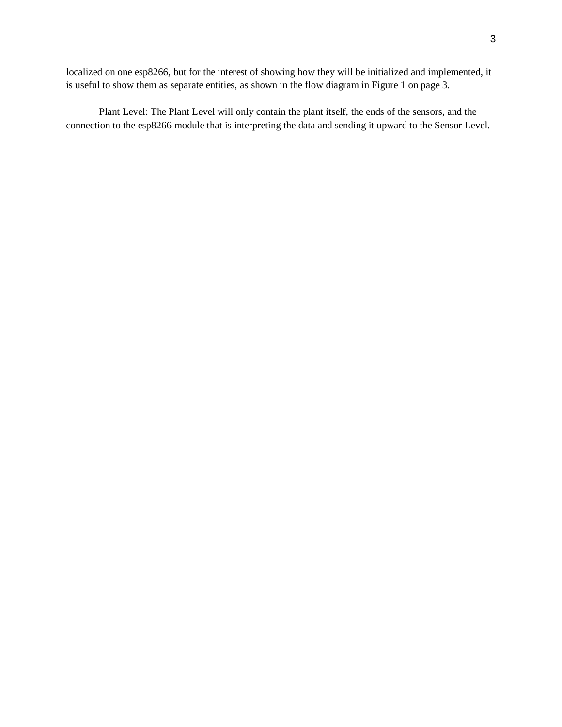localized on one esp8266, but for the interest of showing how they will be initialized and implemented, it is useful to show them as separate entities, as shown in the flow diagram in Figure 1 on page 3.

Plant Level: The Plant Level will only contain the plant itself, the ends of the sensors, and the connection to the esp8266 module that is interpreting the data and sending it upward to the Sensor Level.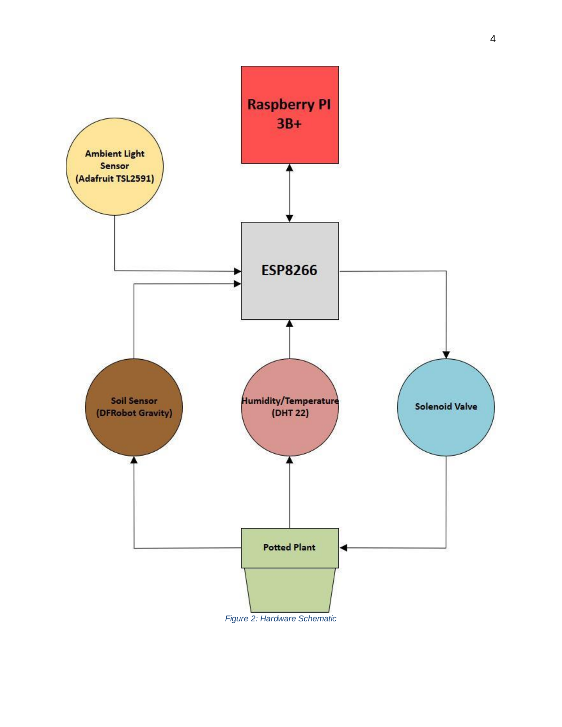

<span id="page-7-0"></span>*Figure 2: Hardware Schematic*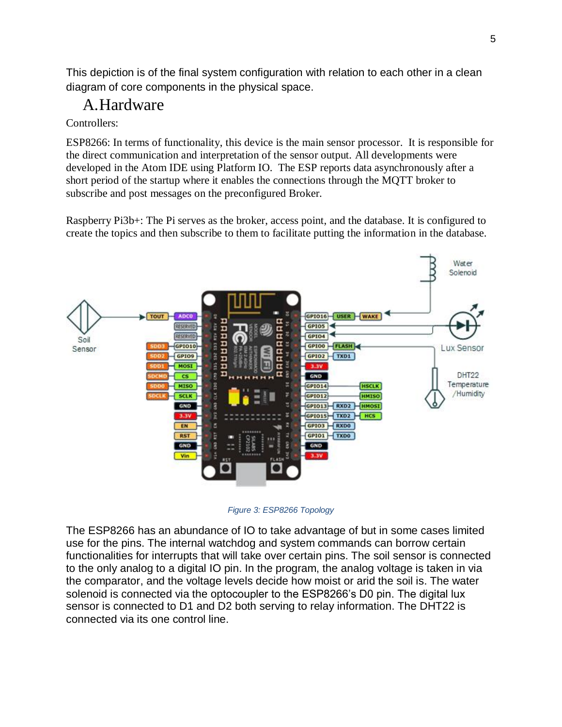This depiction is of the final system configuration with relation to each other in a clean diagram of core components in the physical space.

# <span id="page-8-0"></span>A.Hardware

#### Controllers:

ESP8266: In terms of functionality, this device is the main sensor processor. It is responsible for the direct communication and interpretation of the sensor output. All developments were developed in the Atom IDE using Platform IO. The ESP reports data asynchronously after a short period of the startup where it enables the connections through the MQTT broker to subscribe and post messages on the preconfigured Broker.

Raspberry Pi3b+: The Pi serves as the broker, access point, and the database. It is configured to create the topics and then subscribe to them to facilitate putting the information in the database.



*Figure 3: ESP8266 Topology*

<span id="page-8-1"></span>The ESP8266 has an abundance of IO to take advantage of but in some cases limited use for the pins. The internal watchdog and system commands can borrow certain functionalities for interrupts that will take over certain pins. The soil sensor is connected to the only analog to a digital IO pin. In the program, the analog voltage is taken in via the comparator, and the voltage levels decide how moist or arid the soil is. The water solenoid is connected via the optocoupler to the ESP8266's D0 pin. The digital lux sensor is connected to D1 and D2 both serving to relay information. The DHT22 is connected via its one control line.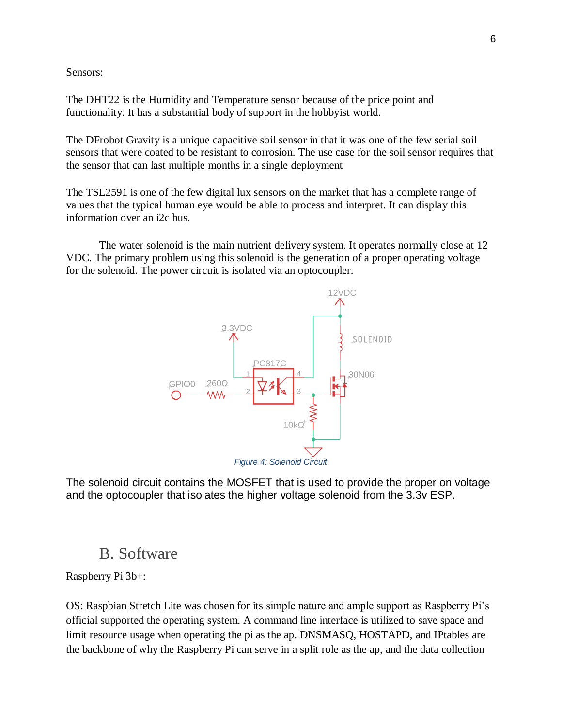Sensors:

The DHT22 is the Humidity and Temperature sensor because of the price point and functionality. It has a substantial body of support in the hobbyist world.

The DFrobot Gravity is a unique capacitive soil sensor in that it was one of the few serial soil sensors that were coated to be resistant to corrosion. The use case for the soil sensor requires that the sensor that can last multiple months in a single deployment

The TSL2591 is one of the few digital lux sensors on the market that has a complete range of values that the typical human eye would be able to process and interpret. It can display this information over an i2c bus.

The water solenoid is the main nutrient delivery system. It operates normally close at 12 VDC. The primary problem using this solenoid is the generation of a proper operating voltage for the solenoid. The power circuit is isolated via an optocoupler.



<span id="page-9-1"></span>The solenoid circuit contains the MOSFET that is used to provide the proper on voltage and the optocoupler that isolates the higher voltage solenoid from the 3.3v ESP.

### B. Software

<span id="page-9-0"></span>Raspberry Pi 3b+:

OS: Raspbian Stretch Lite was chosen for its simple nature and ample support as Raspberry Pi's official supported the operating system. A command line interface is utilized to save space and limit resource usage when operating the pi as the ap. DNSMASQ, HOSTAPD, and IPtables are the backbone of why the Raspberry Pi can serve in a split role as the ap, and the data collection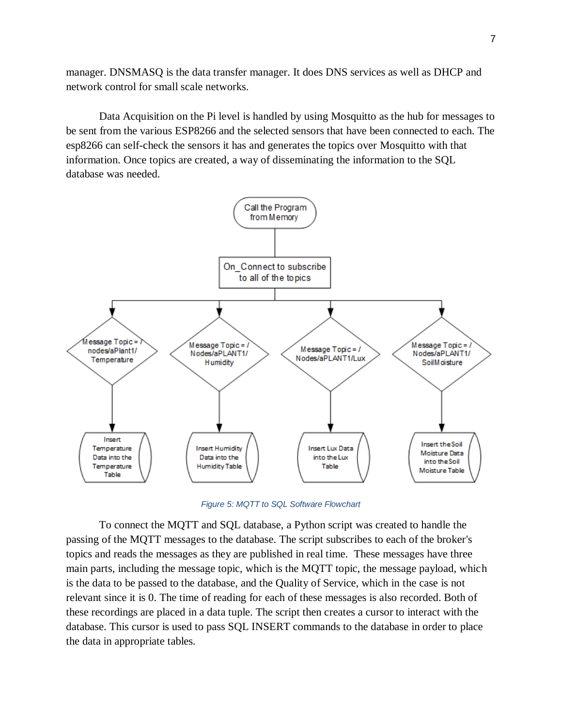manager. DNSMASQ is the data transfer manager. It does DNS services as well as DHCP and network control for small scale networks.

Data Acquisition on the Pi level is handled by using Mosquitto as the hub for messages to be sent from the various ESP8266 and the selected sensors that have been connected to each. The esp8266 can self-check the sensors it has and generates the topics over Mosquitto with that information. Once topics are created, a way of disseminating the information to the SQL database was needed.



*Figure 5: MQTT to SQL Software Flowchart*

<span id="page-10-0"></span>To connect the MQTT and SQL database, a Python script was created to handle the passing of the MQTT messages to the database. The script subscribes to each of the broker's topics and reads the messages as they are published in real time. These messages have three main parts, including the message topic, which is the MQTT topic, the message payload, which is the data to be passed to the database, and the Quality of Service, which in the case is not relevant since it is 0. The time of reading for each of these messages is also recorded. Both of these recordings are placed in a data tuple. The script then creates a cursor to interact with the database. This cursor is used to pass SQL INSERT commands to the database in order to place the data in appropriate tables.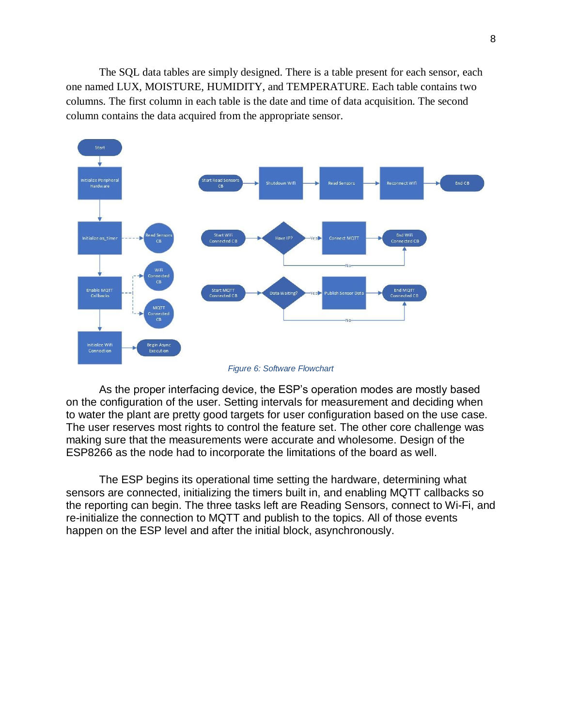The SQL data tables are simply designed. There is a table present for each sensor, each one named LUX, MOISTURE, HUMIDITY, and TEMPERATURE. Each table contains two columns. The first column in each table is the date and time of data acquisition. The second column contains the data acquired from the appropriate sensor.



*Figure 6: Software Flowchart*

<span id="page-11-0"></span>As the proper interfacing device, the ESP's operation modes are mostly based on the configuration of the user. Setting intervals for measurement and deciding when to water the plant are pretty good targets for user configuration based on the use case. The user reserves most rights to control the feature set. The other core challenge was making sure that the measurements were accurate and wholesome. Design of the ESP8266 as the node had to incorporate the limitations of the board as well.

The ESP begins its operational time setting the hardware, determining what sensors are connected, initializing the timers built in, and enabling MQTT callbacks so the reporting can begin. The three tasks left are Reading Sensors, connect to Wi-Fi, and re-initialize the connection to MQTT and publish to the topics. All of those events happen on the ESP level and after the initial block, asynchronously.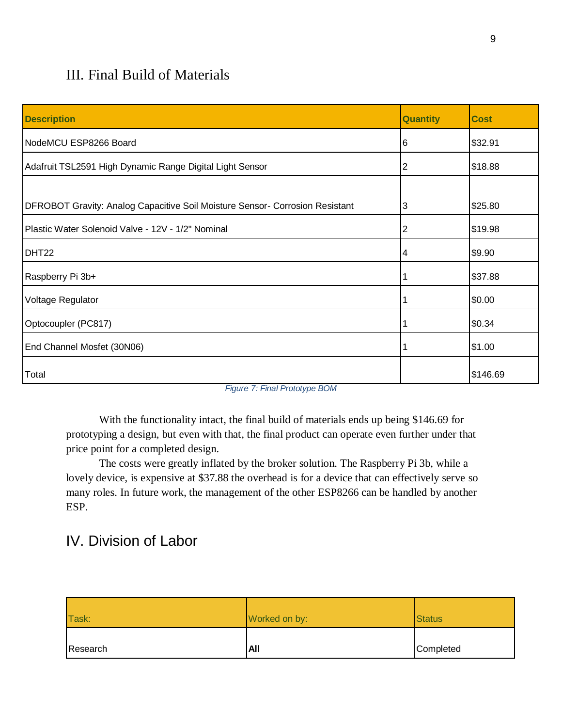# <span id="page-12-0"></span>III. Final Build of Materials

| <b>Description</b>                                                           | <b>Quantity</b> | <b>Cost</b> |
|------------------------------------------------------------------------------|-----------------|-------------|
| NodeMCU ESP8266 Board                                                        | 6               | \$32.91     |
| Adafruit TSL2591 High Dynamic Range Digital Light Sensor                     | 2               | \$18.88     |
|                                                                              |                 |             |
| DFROBOT Gravity: Analog Capacitive Soil Moisture Sensor- Corrosion Resistant | 13              | \$25.80     |
| Plastic Water Solenoid Valve - 12V - 1/2" Nominal                            | 2               | \$19.98     |
| DHT <sub>22</sub>                                                            | 4               | \$9.90      |
| Raspberry Pi 3b+                                                             |                 | \$37.88     |
| Voltage Regulator                                                            |                 | \$0.00      |
| Optocoupler (PC817)                                                          |                 | \$0.34      |
| End Channel Mosfet (30N06)                                                   |                 | \$1.00      |
| Total                                                                        |                 | \$146.69    |

*Figure 7: Final Prototype BOM*

<span id="page-12-2"></span>With the functionality intact, the final build of materials ends up being \$146.69 for prototyping a design, but even with that, the final product can operate even further under that price point for a completed design.

The costs were greatly inflated by the broker solution. The Raspberry Pi 3b, while a lovely device, is expensive at \$37.88 the overhead is for a device that can effectively serve so many roles. In future work, the management of the other ESP8266 can be handled by another ESP.

# <span id="page-12-1"></span>IV. Division of Labor

| Task:    | Worked on by: | <b>Status</b> |
|----------|---------------|---------------|
| Research | All           | Completed     |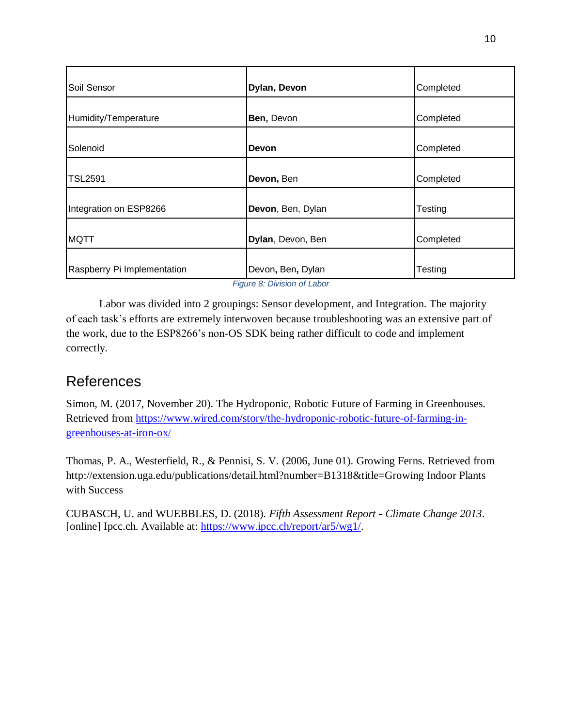| Soil Sensor                         | Dylan, Devon                                                          | Completed |
|-------------------------------------|-----------------------------------------------------------------------|-----------|
|                                     |                                                                       |           |
| Humidity/Temperature                | Ben, Devon                                                            | Completed |
|                                     |                                                                       |           |
| Solenoid                            | <b>Devon</b>                                                          | Completed |
|                                     |                                                                       |           |
| <b>TSL2591</b>                      | Devon, Ben                                                            | Completed |
|                                     |                                                                       |           |
| Integration on ESP8266              | Devon, Ben, Dylan                                                     | Testing   |
|                                     |                                                                       |           |
| <b>MQTT</b>                         | Dylan, Devon, Ben                                                     | Completed |
|                                     |                                                                       |           |
| Raspberry Pi Implementation<br>$ -$ | Devon, Ben, Dylan<br>$\sim$ $\sim$ $\sim$ $\sim$ $\sim$ $\sim$ $\sim$ | Testing   |

*Figure 8: Division of Labor*

<span id="page-13-1"></span>Labor was divided into 2 groupings: Sensor development, and Integration. The majority of each task's efforts are extremely interwoven because troubleshooting was an extensive part of the work, due to the ESP8266's non-OS SDK being rather difficult to code and implement correctly.

## <span id="page-13-0"></span>References

Simon, M. (2017, November 20). The Hydroponic, Robotic Future of Farming in Greenhouses. Retrieved from [https://www.wired.com/story/the-hydroponic-robotic-future-of-farming-in](https://www.wired.com/story/the-hydroponic-robotic-future-of-farming-in-greenhouses-at-iron-ox/)[greenhouses-at-iron-ox](https://www.wired.com/story/the-hydroponic-robotic-future-of-farming-in-greenhouses-at-iron-ox/)/

Thomas, P. A., Westerfield, R., & Pennisi, S. V. (2006, June 01). Growing Ferns. Retrieved from http://extension.uga.edu/publications/detail.html?number=B1318&title=Growing Indoor Plants with Success

CUBASCH, U. and WUEBBLES, D. (2018). *Fifth Assessment Report - Climate Change 2013*. [online] Ipcc.ch. Available at: [https://www.ipcc.ch/report/ar5/wg1/.](https://www.ipcc.ch/report/ar5/wg1/)